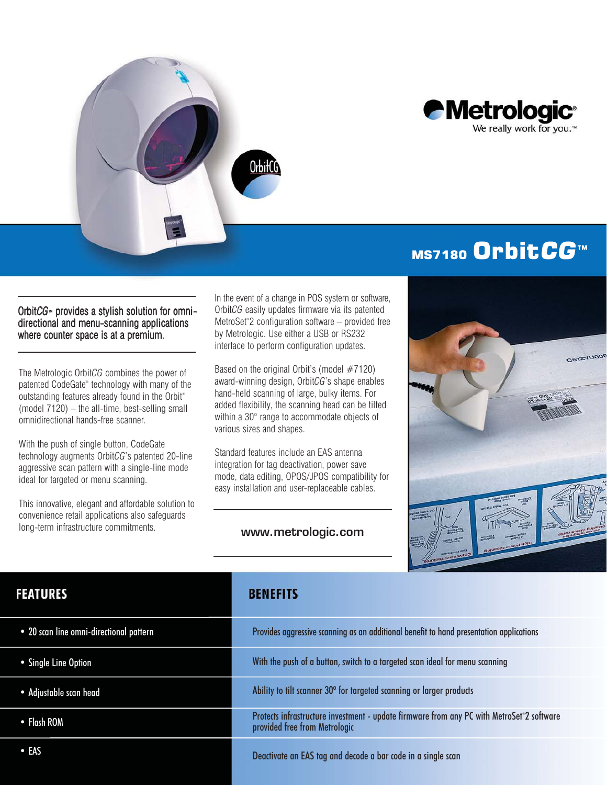



# MS7180 Orbit<sub>CG™</sub>

#### Orbit*CG*<sup>™</sup> provides a stylish solution for omnidirectional and menu-scanning applications where counter space is at a premium.

The Metrologic Orbit*CG* combines the power of patented CodeGate® technology with many of the outstanding features already found in the Orbit® (model 7120) – the all-time, best-selling small omnidirectional hands-free scanner.

With the push of single button, CodeGate technology augments Orbit*CG*'s patented 20-line aggressive scan pattern with a single-line mode ideal for targeted or menu scanning.

This innovative, elegant and affordable solution to convenience retail applications also safeguards long-term infrastructure commitments.

In the event of a change in POS system or software, Orbit*CG* easily updates firmware via its patented MetroSet® 2 configuration software – provided free by Metrologic. Use either a USB or RS232 interface to perform configuration updates.

Based on the original Orbit's (model  $#7120$ ) award-winning design, Orbit*CG*'s shape enables hand-held scanning of large, bulky items. For added flexibility, the scanning head can be tilted within a 30° range to accommodate objects of various sizes and shapes.

Standard features include an EAS antenna integration for tag deactivation, power save mode, data editing, OPOS/JPOS compatibility for easy installation and user-replaceable cables.

### www.metrologic.com



### **FEATURES**

- 20 scan line omni-directional pattern
- Single Line Option
- Adjustable scan head
- Flash ROM
- EAS

### **BENEFITS**

| Provides aggressive scanning as an additional benefit to hand presentation applications                                    |
|----------------------------------------------------------------------------------------------------------------------------|
| With the push of a button, switch to a targeted scan ideal for menu scanning                                               |
| Ability to tilt scanner 30° for targeted scanning or larger products                                                       |
| Protects infrastructure investment - update firmware from any PC with MetroSet®2 software<br>provided free from Metrologic |
| Deactivate an EAS tag and decode a bar code in a single scan                                                               |